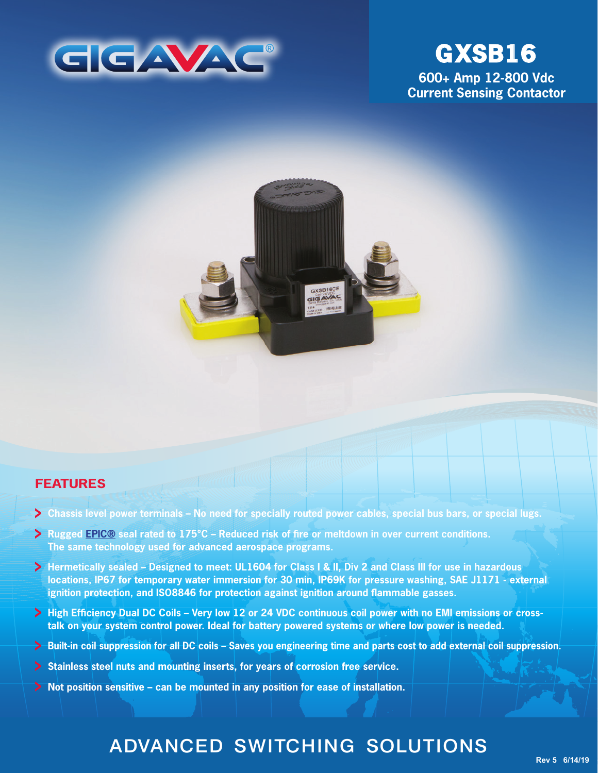

# **GXSB16**

**600+ Amp 12-800 Vdc Current Sensing Contactor**



## **FEATURES**

- **Chassis level power terminals No need for specially routed power cables, special bus bars, or special lugs.**
- **Rugged [EPIC®](http://www.gigavac.com/application-notes/power-products/gigavac-patended-epic-technology) seal rated to 175°C Reduced risk of fire or meltdown in over current conditions. The same technology used for advanced aerospace programs.**
- **Hermetically sealed Designed to meet: UL1604 for Class I & II, Div 2 and Class III for use in hazardous locations, IP67 for temporary water immersion for 30 min, IP69K for pressure washing, SAE J1171 - external ignition protection, and ISO8846 for protection against ignition around flammable gasses.**
- **High Efficiency Dual DC Coils Very low 12 or 24 VDC continuous coil power with no EMI emissions or crosstalk on your system control power. Ideal for battery powered systems or where low power is needed.**
- **Built-in coil suppression for all DC coils Saves you engineering time and parts cost to add external coil suppression.**
- **Stainless steel nuts and mounting inserts, for years of corrosion free service.**
- **Not position sensitive can be mounted in any position for ease of installation.**

## ADVANCED SWITCHING SOLUTIONS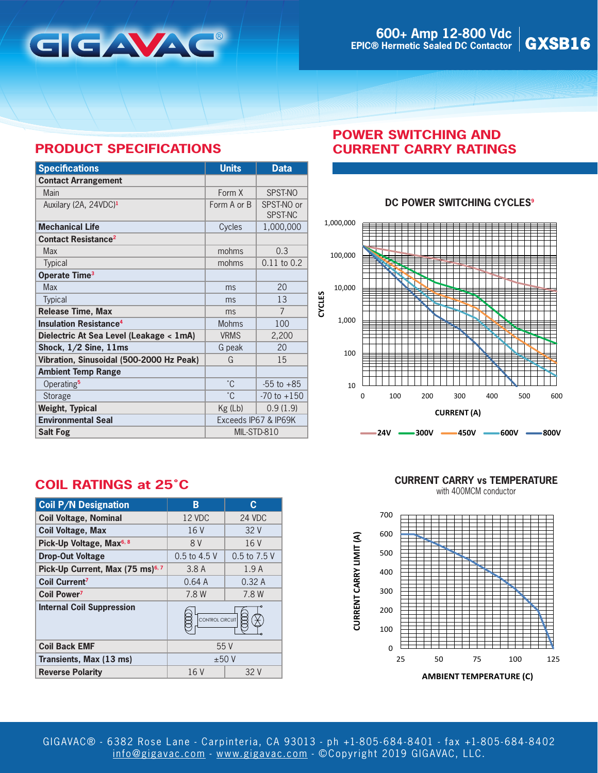

## **PRODUCT SPECIFICATIONS**

| <b>Specifications</b>                    | <b>Units</b>         | <b>Data</b>           |
|------------------------------------------|----------------------|-----------------------|
| <b>Contact Arrangement</b>               |                      |                       |
| Main                                     | Form X               | SPST-NO               |
| Auxilary (2A, 24VDC) <sup>1</sup>        | Form A or B          | SPST-NO or<br>SPST-NC |
| <b>Mechanical Life</b>                   | Cycles               | 1,000,000             |
| <b>Contact Resistance<sup>2</sup></b>    |                      |                       |
| Max                                      | mohms                | 0.3                   |
| Typical                                  | mohms                | $0.11$ to $0.2$       |
| Operate Time <sup>3</sup>                |                      |                       |
| <b>Max</b>                               | ms                   | 20                    |
| <b>Typical</b>                           | ms                   | 13                    |
| <b>Release Time, Max</b>                 | ms                   | $\overline{7}$        |
| <b>Insulation Resistance<sup>4</sup></b> | <b>Mohms</b>         | 100                   |
| Dielectric At Sea Level (Leakage < 1mA)  | <b>VRMS</b>          | 2,200                 |
| Shock, 1/2 Sine, 11ms                    | G peak               | 20                    |
| Vibration, Sinusoidal (500-2000 Hz Peak) | G                    | 15                    |
| <b>Ambient Temp Range</b>                |                      |                       |
| Operating <sup>5</sup>                   | $^{\circ}$ C         | $-55$ to $+85$        |
| Storage                                  | °C                   | $-70$ to $+150$       |
| <b>Weight, Typical</b>                   | $Kg$ (Lb)            | 0.9(1.9)              |
| <b>Environmental Seal</b>                | Exceeds IP67 & IP69K |                       |
| <b>Salt Fog</b>                          | MIL-STD-810          |                       |

## **POWER SWITCHING AND CURRENT CARRY RATINGS**

#### **DC POWER SWITCHING CYCLES<sup>9</sup>**



## **COIL RATINGS at 25˚C**

| <b>Coil P/N Designation</b>                  | В               | С            |
|----------------------------------------------|-----------------|--------------|
| <b>Coil Voltage, Nominal</b>                 | 12 VDC          | 24 VDC       |
| <b>Coil Voltage, Max</b>                     | 16 V            | 32 V         |
| Pick-Up Voltage, Max <sup>6, 8</sup>         | 8 V             | 16 V         |
| <b>Drop-Out Voltage</b>                      | 0.5 to 4.5 V    | 0.5 to 7.5 V |
| Pick-Up Current, Max (75 ms) <sup>6, 7</sup> | 3.8A            | 1.9A         |
| Coil Current <sup>7</sup>                    | 0.64A           | 0.32A        |
| <b>Coil Power</b> <sup>7</sup>               | 7.8 W           | 7.8 W        |
| <b>Internal Coil Suppression</b>             | CONTROL CIRCUIT |              |
| <b>Coil Back EMF</b>                         | 55V             |              |
| Transients, Max (13 ms)                      | ±50V            |              |
| <b>Reverse Polarity</b>                      | 16 V<br>32 V    |              |

**CURRENT CARRY vs TEMPERATURE**

with 400MCM conductor

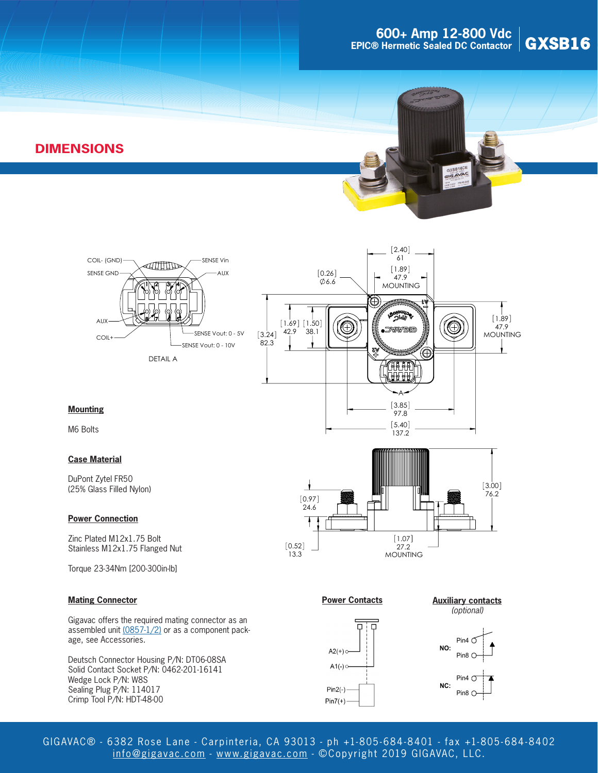## **GOO+ Amp 12-800 Vdc**<br> **B** Hermetic Sealed DC Contactor GXSB16 **EPIC® Hermetic Sealed DC Contactor**

## **DIMENSIONS**







#### **Mounting**

M6 Bolts

#### **Case Material**

DuPont Zytel FR50 (25% Glass Filled Nylon)

#### **Power Connection**

Zinc Plated M12x1.75 Bolt Stainless M12x1.75 Flanged Nut

Torque 23-34Nm [200-300in-lb]

#### **Mating Connector**

Gigavac offers the required mating connector as an assembled unit [\(0857-1/2\)](http://www.gigavac.com/sites/default/files/catalog/spec_sheet/0857.pdf) or as a component package, see Accessories.

Deutsch Connector Housing P/N: DT06-08SA Solid Contact Socket P/N: 0462-201-16141 Wedge Lock P/N: W8S Sealing Plug P/N: 114017 Crimp Tool P/N: HDT-48-00



**Power Contacts**



#### **Auxiliary contacts**



GIGAVAC® - 6382 Rose Lane - Carpinteria, CA 93013 - ph +1-805- 684-8401 - fax +1-805- 684-8402 [info@gigavac.com](mailto:info%40gigavac.com?subject=) - <www.gigavac.com> - ©Copyright 2019 GIGAVAC, LLC.